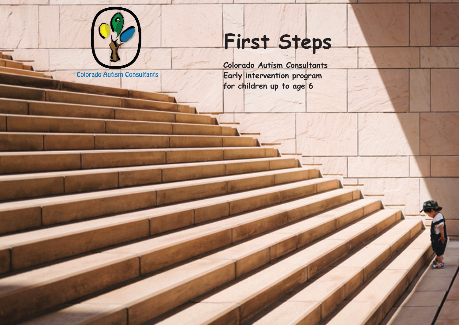

**Colorado Autism Consultants** 

## **First Steps**

**Colorado Autism Consultants Early intervention program for children up to age 6**